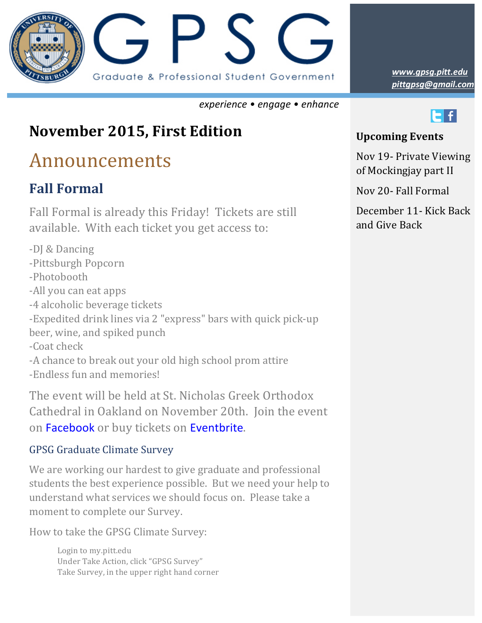

*experience • engage • enhance*

## **November 2015, First Edition**

# Announcements

### **Fall Formal**

Fall Formal is already this Friday! Tickets are still available. With each ticket you get access to:

-DJ & Dancing -Pittsburgh Popcorn -Photobooth -All you can eat apps -4 alcoholic beverage tickets -Expedited drink lines via 2 "express" bars with quick pick-up beer, wine, and spiked punch -Coat check -A chance to break out your old high school prom attire -Endless fun and memories!

The event will be held at St. Nicholas Greek Orthodox Cathedral in Oakland on November 20th. Join the event on Facebook or buy tickets on Eventbrite.

### GPSG Graduate Climate Survey

We are working our hardest to give graduate and professional students the best experience possible. But we need your help to understand what services we should focus on. Please take a moment to complete our Survey.

How to take the GPSG Climate Survey:

Login to my.pitt.edu Under Take Action, click "GPSG Survey" Take Survey, in the upper right hand corner *pittgpsg@gmail.com www.gpsg.pitt.edu*



#### **Upcoming Events**

Nov 19- Private Viewing of Mockingjay part II

Nov 20- Fall Formal

December 11 - Kick Back and Give Back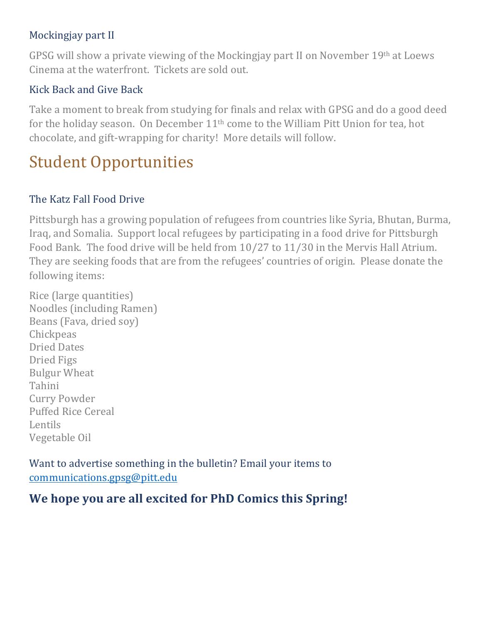#### Mockingjay part II

GPSG will show a private viewing of the Mockingjay part II on November  $19<sup>th</sup>$  at Loews Cinema at the waterfront. Tickets are sold out.

#### Kick Back and Give Back

Take a moment to break from studying for finals and relax with GPSG and do a good deed for the holiday season. On December 11<sup>th</sup> come to the William Pitt Union for tea, hot chocolate, and gift-wrapping for charity! More details will follow.

# **Student Opportunities**

#### The Katz Fall Food Drive

Pittsburgh has a growing population of refugees from countries like Syria, Bhutan, Burma, Iraq, and Somalia. Support local refugees by participating in a food drive for Pittsburgh Food Bank. The food drive will be held from  $10/27$  to  $11/30$  in the Mervis Hall Atrium. They are seeking foods that are from the refugees' countries of origin. Please donate the following items:

Rice (large quantities) Noodles (including Ramen) Beans (Fava, dried soy) **Chickpeas** Dried Dates Dried Figs **Bulgur** Wheat Tahini Curry Powder Puffed Rice Cereal Lentils Vegetable Oil

Want to advertise something in the bulletin? Email your items to communications.gpsg@pitt.edu

### We hope you are all excited for PhD Comics this Spring!